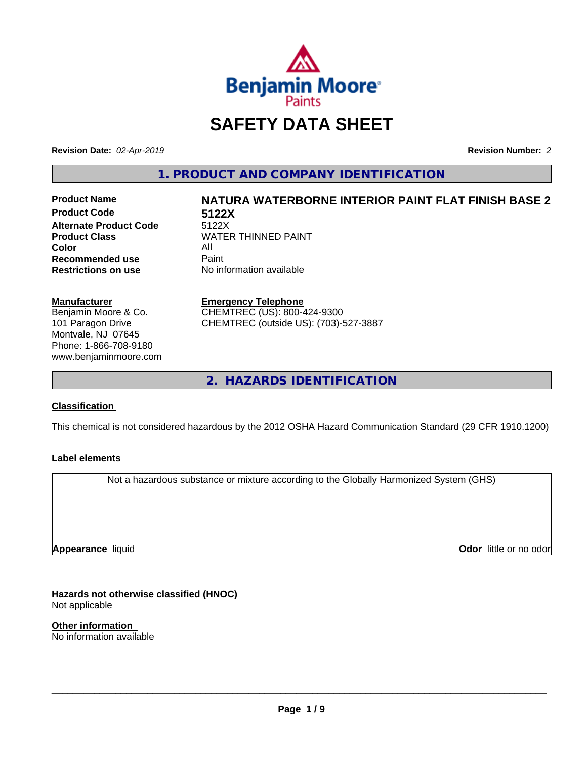

## **SAFETY DATA SHEET**

**Revision Date:** *02-Apr-2019* **Revision Number:** *2*

**1. PRODUCT AND COMPANY IDENTIFICATION**

**Product Code 5122X Alternate Product Code**<br>Product Class **Color** All All<br>**Recommended use** Paint **Recommended use**<br>Restrictions on use

# **Product Name NATURA WATERBORNE INTERIOR PAINT FLAT FINISH BASE 2**

**WATER THINNED PAINT No information available** 

### **Manufacturer**

Benjamin Moore & Co. 101 Paragon Drive Montvale, NJ 07645 Phone: 1-866-708-9180 www.benjaminmoore.com

### **Emergency Telephone**

CHEMTREC (US): 800-424-9300 CHEMTREC (outside US): (703)-527-3887

**2. HAZARDS IDENTIFICATION**

### **Classification**

This chemical is not considered hazardous by the 2012 OSHA Hazard Communication Standard (29 CFR 1910.1200)

### **Label elements**

Not a hazardous substance or mixture according to the Globally Harmonized System (GHS)

**Appearance** liquid

**Odor** little or no odor

**Hazards not otherwise classified (HNOC)** Not applicable

**Other information** No information available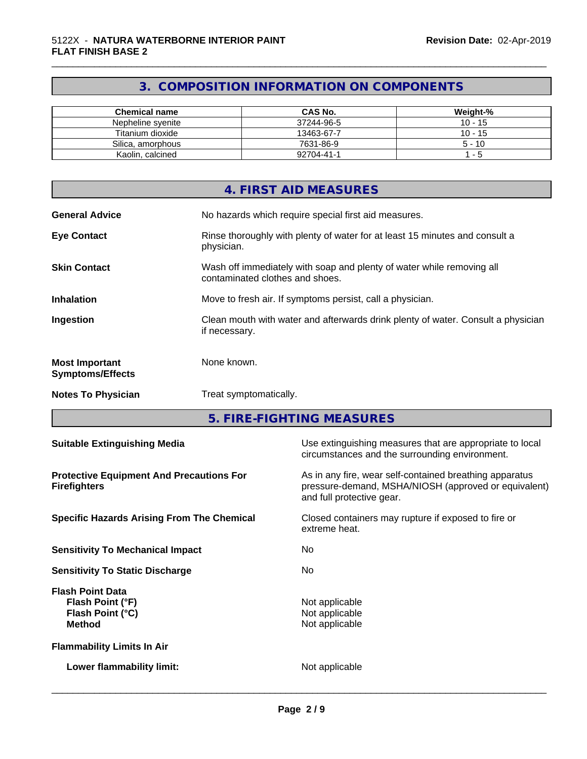### **3. COMPOSITION INFORMATION ON COMPONENTS**

\_\_\_\_\_\_\_\_\_\_\_\_\_\_\_\_\_\_\_\_\_\_\_\_\_\_\_\_\_\_\_\_\_\_\_\_\_\_\_\_\_\_\_\_\_\_\_\_\_\_\_\_\_\_\_\_\_\_\_\_\_\_\_\_\_\_\_\_\_\_\_\_\_\_\_\_\_\_\_\_\_\_\_\_\_\_\_\_\_\_\_\_\_

| <b>Chemical name</b> | <b>CAS No.</b> | Weight-%  |
|----------------------|----------------|-----------|
| Nepheline svenite    | 37244-96-5     | $10 - 15$ |
| Titanium dioxide     | 13463-67-7     | $10 - 15$ |
| Silica, amorphous    | 7631-86-9      | $5 - 10$  |
| Kaolin, calcined     | 92704-41-1     | - 5       |

|                                                  | 4. FIRST AID MEASURES                                                                                    |
|--------------------------------------------------|----------------------------------------------------------------------------------------------------------|
| <b>General Advice</b>                            | No hazards which require special first aid measures.                                                     |
| <b>Eye Contact</b>                               | Rinse thoroughly with plenty of water for at least 15 minutes and consult a<br>physician.                |
| <b>Skin Contact</b>                              | Wash off immediately with soap and plenty of water while removing all<br>contaminated clothes and shoes. |
| <b>Inhalation</b>                                | Move to fresh air. If symptoms persist, call a physician.                                                |
| Ingestion                                        | Clean mouth with water and afterwards drink plenty of water. Consult a physician<br>if necessary.        |
| <b>Most Important</b><br><b>Symptoms/Effects</b> | None known.                                                                                              |
| <b>Notes To Physician</b>                        | Treat symptomatically.                                                                                   |

**5. FIRE-FIGHTING MEASURES**

| <b>Suitable Extinguishing Media</b>                                              | Use extinguishing measures that are appropriate to local<br>circumstances and the surrounding environment.                                   |
|----------------------------------------------------------------------------------|----------------------------------------------------------------------------------------------------------------------------------------------|
| <b>Protective Equipment And Precautions For</b><br><b>Firefighters</b>           | As in any fire, wear self-contained breathing apparatus<br>pressure-demand, MSHA/NIOSH (approved or equivalent)<br>and full protective gear. |
| <b>Specific Hazards Arising From The Chemical</b>                                | Closed containers may rupture if exposed to fire or<br>extreme heat.                                                                         |
| <b>Sensitivity To Mechanical Impact</b>                                          | No.                                                                                                                                          |
| <b>Sensitivity To Static Discharge</b>                                           | No                                                                                                                                           |
| <b>Flash Point Data</b><br>Flash Point (°F)<br>Flash Point (°C)<br><b>Method</b> | Not applicable<br>Not applicable<br>Not applicable                                                                                           |
| <b>Flammability Limits In Air</b>                                                |                                                                                                                                              |
| Lower flammability limit:                                                        | Not applicable                                                                                                                               |
|                                                                                  |                                                                                                                                              |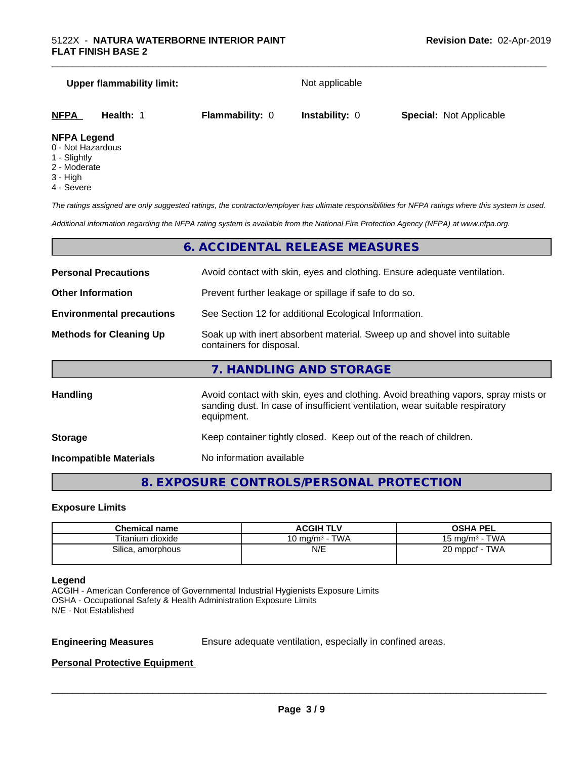# **Upper flammability limit:** Not applicable **NFPA Health:** 1 **Flammability:** 0 **Instability:** 0 **Special:** Not Applicable

### **NFPA Legend**

- 0 Not Hazardous
- 1 Slightly
- 2 Moderate
- 3 High
- 4 Severe

*The ratings assigned are only suggested ratings, the contractor/employer has ultimate responsibilities for NFPA ratings where this system is used.*

*Additional information regarding the NFPA rating system is available from the National Fire Protection Agency (NFPA) at www.nfpa.org.*

### **6. ACCIDENTAL RELEASE MEASURES**

| <b>Personal Precautions</b>      | Avoid contact with skin, eyes and clothing. Ensure adequate ventilation.                                                                                                         |
|----------------------------------|----------------------------------------------------------------------------------------------------------------------------------------------------------------------------------|
| <b>Other Information</b>         | Prevent further leakage or spillage if safe to do so.                                                                                                                            |
| <b>Environmental precautions</b> | See Section 12 for additional Ecological Information.                                                                                                                            |
| <b>Methods for Cleaning Up</b>   | Soak up with inert absorbent material. Sweep up and shovel into suitable<br>containers for disposal.                                                                             |
|                                  | 7. HANDLING AND STORAGE                                                                                                                                                          |
| Handling                         | Avoid contact with skin, eyes and clothing. Avoid breathing vapors, spray mists or<br>sanding dust. In case of insufficient ventilation, wear suitable respiratory<br>equipment. |
| <b>Storage</b>                   | Keep container tightly closed. Keep out of the reach of children.                                                                                                                |

**Incompatible Materials** No information available

### **8. EXPOSURE CONTROLS/PERSONAL PROTECTION**

### **Exposure Limits**

| <b>Chemical name</b> | <b>ACGIH TLV</b>                | OSHA PEL                  |
|----------------------|---------------------------------|---------------------------|
| Titanium dioxide     | - TWA<br>10 mg/m <sup>3</sup> - | $15 \text{ mg/m}^3$ - TWA |
| Silica, amorphous    | N/E                             | · TWA<br>20 mppcf - 1     |
|                      |                                 |                           |

### **Legend**

ACGIH - American Conference of Governmental Industrial Hygienists Exposure Limits OSHA - Occupational Safety & Health Administration Exposure Limits N/E - Not Established

**Engineering Measures** Ensure adequate ventilation, especially in confined areas.

 $\overline{\phantom{a}}$  ,  $\overline{\phantom{a}}$  ,  $\overline{\phantom{a}}$  ,  $\overline{\phantom{a}}$  ,  $\overline{\phantom{a}}$  ,  $\overline{\phantom{a}}$  ,  $\overline{\phantom{a}}$  ,  $\overline{\phantom{a}}$  ,  $\overline{\phantom{a}}$  ,  $\overline{\phantom{a}}$  ,  $\overline{\phantom{a}}$  ,  $\overline{\phantom{a}}$  ,  $\overline{\phantom{a}}$  ,  $\overline{\phantom{a}}$  ,  $\overline{\phantom{a}}$  ,  $\overline{\phantom{a}}$ 

### **Personal Protective Equipment**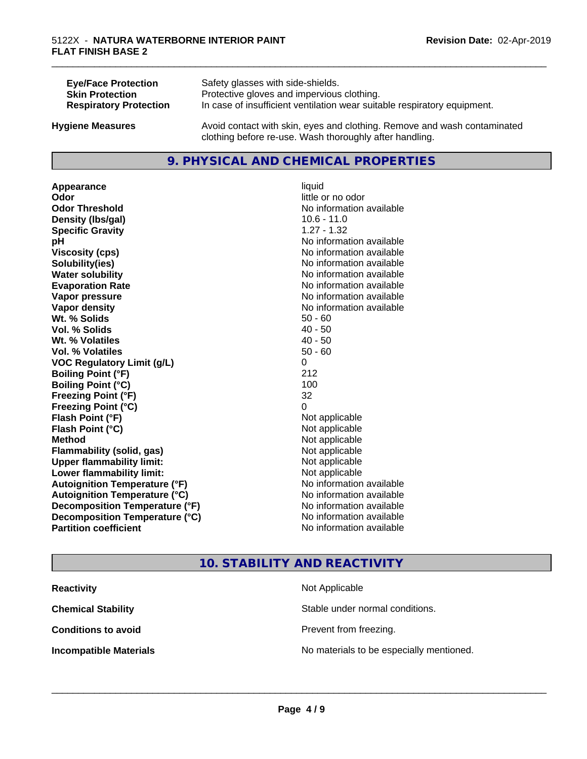| <b>Eye/Face Protection</b>    | Safety glasses with side-shields.                                        |
|-------------------------------|--------------------------------------------------------------------------|
| <b>Skin Protection</b>        | Protective gloves and impervious clothing.                               |
| <b>Respiratory Protection</b> | In case of insufficient ventilation wear suitable respiratory equipment. |
| <b>Hygiene Measures</b>       | Avoid contact with skin, eyes and clothing. Remove and wash contaminated |

### **9. PHYSICAL AND CHEMICAL PROPERTIES**

clothing before re-use. Wash thoroughly after handling.

**Appearance** liquid **Odor** little or no odor **Odor Threshold No information available No information available Density (Ibs/gal)** 10.6 - 11.0 **Specific Gravity** 1.27 - 1.32 **pH** No information available **Viscosity (cps)** No information available **Solubility(ies)** No information available **Water solubility Water solubility Water solubility Water solubility Water solubility Water solution Evaporation Rate No information available No information available Vapor pressure** No information available **No information** available **Vapor density Vapor density No information available Wt.** % Solids 50 - 60 **Vol. % Solids** 40 - 50 **Wt. % Volatiles** 40 - 50 **Vol. % Volatiles** 50 - 60 **VOC Regulatory Limit (g/L)** 0 **Boiling Point (°F)** 212 **Boiling Point (°C)** 100 **Freezing Point (°F)** 32 **Freezing Point (°C)** 0 **Flash Point (°F)**<br> **Flash Point (°C)**<br> **Flash Point (°C)**<br> **Point (°C) Flash Point (°C) Method** Not applicable **Flammability (solid, gas)** Not applicable **Upper flammability limit:** Not applicable **Lower flammability limit:** Not applicable **Autoignition Temperature (°F)** No information available **Autoignition Temperature (°C)** No information available **Decomposition Temperature (°F)** No information available **Decomposition Temperature (°C)**<br> **Partition coefficient Partition coefficient 1 Partition available No information available** 

# **No information available**

\_\_\_\_\_\_\_\_\_\_\_\_\_\_\_\_\_\_\_\_\_\_\_\_\_\_\_\_\_\_\_\_\_\_\_\_\_\_\_\_\_\_\_\_\_\_\_\_\_\_\_\_\_\_\_\_\_\_\_\_\_\_\_\_\_\_\_\_\_\_\_\_\_\_\_\_\_\_\_\_\_\_\_\_\_\_\_\_\_\_\_\_\_

### **10. STABILITY AND REACTIVITY**

| <b>Reactivity</b>             | Not Applicable                           |
|-------------------------------|------------------------------------------|
| <b>Chemical Stability</b>     | Stable under normal conditions.          |
| <b>Conditions to avoid</b>    | Prevent from freezing.                   |
| <b>Incompatible Materials</b> | No materials to be especially mentioned. |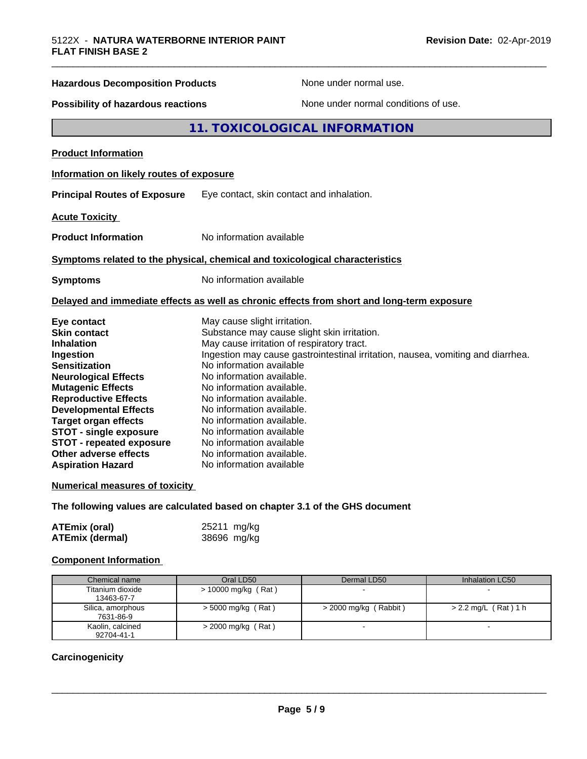### **Hazardous Decomposition Products** None under normal use.

**Possibility of hazardous reactions** None under normal conditions of use.

### **11. TOXICOLOGICAL INFORMATION**

**Product Information**

### **Information on likely routes of exposure**

**Principal Routes of Exposure** Eye contact, skin contact and inhalation.

**Acute Toxicity** 

**Product Information** No information available

### **Symptoms related to the physical,chemical and toxicological characteristics**

**Symptoms** No information available

### **Delayed and immediate effects as well as chronic effects from short and long-term exposure**

| Eye contact                     | May cause slight irritation.                                                    |
|---------------------------------|---------------------------------------------------------------------------------|
| <b>Skin contact</b>             | Substance may cause slight skin irritation.                                     |
| <b>Inhalation</b>               | May cause irritation of respiratory tract.                                      |
| Ingestion                       | Ingestion may cause gastrointestinal irritation, nausea, vomiting and diarrhea. |
| <b>Sensitization</b>            | No information available                                                        |
| <b>Neurological Effects</b>     | No information available.                                                       |
| <b>Mutagenic Effects</b>        | No information available.                                                       |
| <b>Reproductive Effects</b>     | No information available.                                                       |
| <b>Developmental Effects</b>    | No information available.                                                       |
| <b>Target organ effects</b>     | No information available.                                                       |
| <b>STOT - single exposure</b>   | No information available                                                        |
| <b>STOT - repeated exposure</b> | No information available                                                        |
| Other adverse effects           | No information available.                                                       |
| <b>Aspiration Hazard</b>        | No information available                                                        |

### **Numerical measures of toxicity**

**The following values are calculated based on chapter 3.1 of the GHS document**

| <b>ATEmix (oral)</b>   | 25211 mg/kg |
|------------------------|-------------|
| <b>ATEmix (dermal)</b> | 38696 mg/kg |

### **Component Information**

| Chemical name                  | Oral LD50            | Dermal LD50             | Inhalation LC50        |
|--------------------------------|----------------------|-------------------------|------------------------|
| Titanium dioxide<br>13463-67-7 | > 10000 mg/kg (Rat)  |                         |                        |
| Silica, amorphous<br>7631-86-9 | $>$ 5000 mg/kg (Rat) | $>$ 2000 mg/kg (Rabbit) | $> 2.2$ mg/L (Rat) 1 h |
| Kaolin, calcined<br>92704-41-1 | $>$ 2000 mg/kg (Rat) |                         |                        |

### **Carcinogenicity**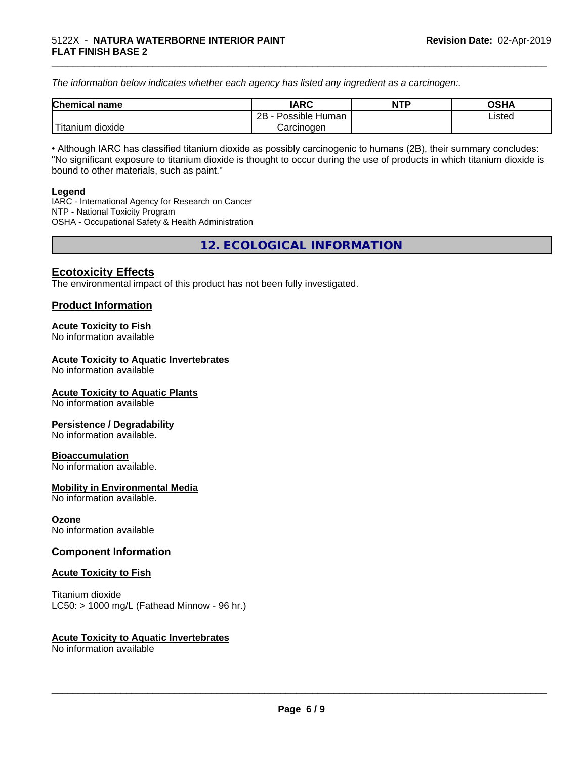*The information below indicateswhether each agency has listed any ingredient as a carcinogen:.*

| <b>Chemical</b><br>name | <b>IARC</b>                    | <b>NTP</b> | <b>OSHA</b> |
|-------------------------|--------------------------------|------------|-------------|
|                         | . .<br>2B<br>Possible<br>Human |            | Listed<br>. |
| dioxide<br>⊺itanium     | Carcinogen                     |            |             |

\_\_\_\_\_\_\_\_\_\_\_\_\_\_\_\_\_\_\_\_\_\_\_\_\_\_\_\_\_\_\_\_\_\_\_\_\_\_\_\_\_\_\_\_\_\_\_\_\_\_\_\_\_\_\_\_\_\_\_\_\_\_\_\_\_\_\_\_\_\_\_\_\_\_\_\_\_\_\_\_\_\_\_\_\_\_\_\_\_\_\_\_\_

• Although IARC has classified titanium dioxide as possibly carcinogenic to humans (2B), their summary concludes: "No significant exposure to titanium dioxide is thought to occur during the use of products in which titanium dioxide is bound to other materials, such as paint."

### **Legend**

IARC - International Agency for Research on Cancer NTP - National Toxicity Program OSHA - Occupational Safety & Health Administration

**12. ECOLOGICAL INFORMATION**

### **Ecotoxicity Effects**

The environmental impact of this product has not been fully investigated.

### **Product Information**

### **Acute Toxicity to Fish**

No information available

### **Acute Toxicity to Aquatic Invertebrates**

No information available

### **Acute Toxicity to Aquatic Plants**

No information available

### **Persistence / Degradability**

No information available.

### **Bioaccumulation**

No information available.

### **Mobility in Environmental Media**

No information available.

### **Ozone**

No information available

### **Component Information**

### **Acute Toxicity to Fish**

Titanium dioxide  $LC50:$  > 1000 mg/L (Fathead Minnow - 96 hr.)

### **Acute Toxicity to Aquatic Invertebrates**

No information available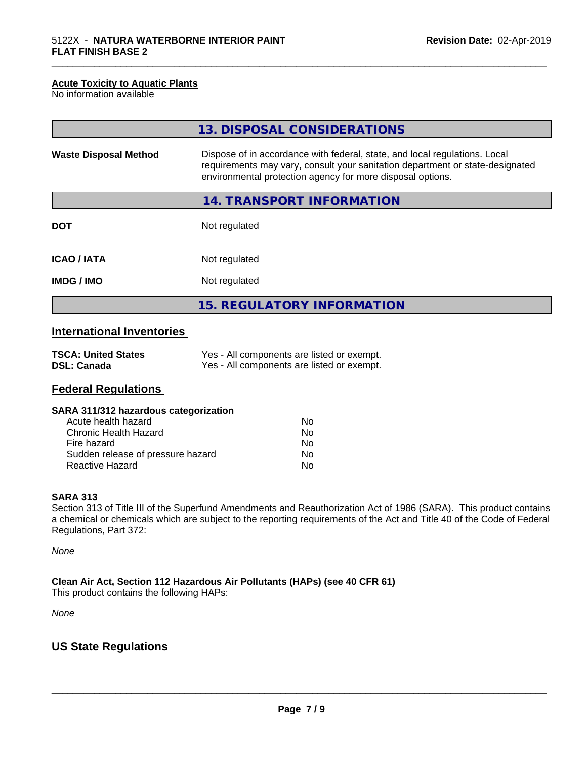### **Acute Toxicity to Aquatic Plants**

No information available

|                              | 13. DISPOSAL CONSIDERATIONS                                                                                                                                                                                               |
|------------------------------|---------------------------------------------------------------------------------------------------------------------------------------------------------------------------------------------------------------------------|
| <b>Waste Disposal Method</b> | Dispose of in accordance with federal, state, and local regulations. Local<br>requirements may vary, consult your sanitation department or state-designated<br>environmental protection agency for more disposal options. |
|                              | 14. TRANSPORT INFORMATION                                                                                                                                                                                                 |
| <b>DOT</b>                   | Not regulated                                                                                                                                                                                                             |
| <b>ICAO / IATA</b>           | Not regulated                                                                                                                                                                                                             |
| <b>IMDG/IMO</b>              | Not regulated                                                                                                                                                                                                             |
|                              | <b>15. REGULATORY INFORMATION</b>                                                                                                                                                                                         |

\_\_\_\_\_\_\_\_\_\_\_\_\_\_\_\_\_\_\_\_\_\_\_\_\_\_\_\_\_\_\_\_\_\_\_\_\_\_\_\_\_\_\_\_\_\_\_\_\_\_\_\_\_\_\_\_\_\_\_\_\_\_\_\_\_\_\_\_\_\_\_\_\_\_\_\_\_\_\_\_\_\_\_\_\_\_\_\_\_\_\_\_\_

### **International Inventories**

| <b>TSCA: United States</b> | Yes - All components are listed or exempt. |
|----------------------------|--------------------------------------------|
| <b>DSL: Canada</b>         | Yes - All components are listed or exempt. |

### **Federal Regulations**

| SARA 311/312 hazardous categorization |    |  |
|---------------------------------------|----|--|
| Acute health hazard                   | N٥ |  |
| Chronic Health Hazard                 | Nο |  |

| <u>UNIUNIU HEAINI HAZAIU</u>      | nu |
|-----------------------------------|----|
| Fire hazard                       | Nο |
| Sudden release of pressure hazard | Nο |
| Reactive Hazard                   | Nο |

### **SARA 313**

Section 313 of Title III of the Superfund Amendments and Reauthorization Act of 1986 (SARA). This product contains a chemical or chemicals which are subject to the reporting requirements of the Act and Title 40 of the Code of Federal Regulations, Part 372:

*None*

**Clean Air Act,Section 112 Hazardous Air Pollutants (HAPs) (see 40 CFR 61)**

This product contains the following HAPs:

*None*

### **US State Regulations**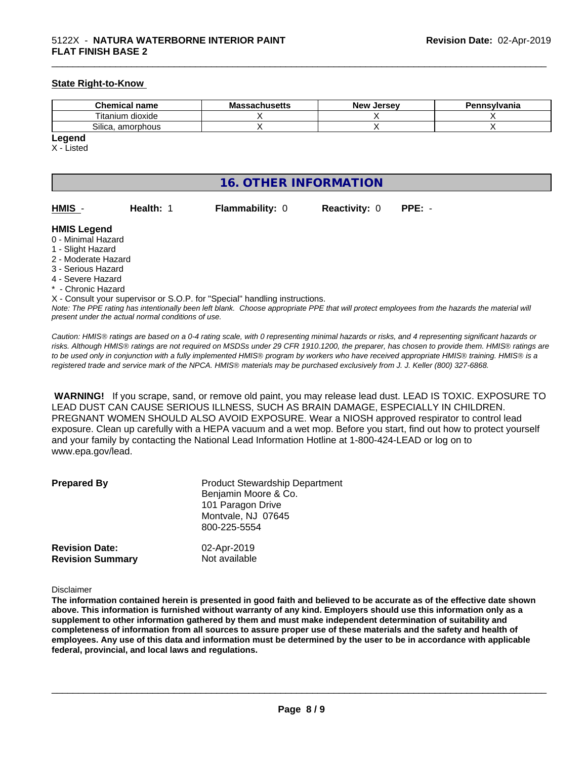### **State Right-to-Know**

| <b>Chemical</b><br>name           | - -<br>$     -$<br>ма<br>nuscus<br>мы | Jersev<br><b>NIQUE</b> | Pennsylvania |
|-----------------------------------|---------------------------------------|------------------------|--------------|
| $- \cdot$ .<br>itanium<br>dioxide |                                       |                        |              |
| ~…<br>amorphous<br>Silica         |                                       |                        |              |

### **Legend**

X - Listed

### **16. OTHER INFORMATION**

| HMIS - | <b>Health: 1</b> | <b>Flammability: 0</b> | <b>Reactivity: 0</b> | $PPE: -$ |
|--------|------------------|------------------------|----------------------|----------|

\_\_\_\_\_\_\_\_\_\_\_\_\_\_\_\_\_\_\_\_\_\_\_\_\_\_\_\_\_\_\_\_\_\_\_\_\_\_\_\_\_\_\_\_\_\_\_\_\_\_\_\_\_\_\_\_\_\_\_\_\_\_\_\_\_\_\_\_\_\_\_\_\_\_\_\_\_\_\_\_\_\_\_\_\_\_\_\_\_\_\_\_\_

### **HMIS Legend**

- 0 Minimal Hazard
- 1 Slight Hazard
- 2 Moderate Hazard
- 3 Serious Hazard
- 4 Severe Hazard
- <sup>\*</sup> Chronic Hazard
- X Consult your supervisor or S.O.P. for "Special" handling instructions.

*Note: The PPE rating has intentionally been left blank. Choose appropriate PPE that will protect employees from the hazards the material will present under the actual normal conditions of use.*

*Caution: HMISÒ ratings are based on a 0-4 rating scale, with 0 representing minimal hazards or risks, and 4 representing significant hazards or risks. Although HMISÒ ratings are not required on MSDSs under 29 CFR 1910.1200, the preparer, has chosen to provide them. HMISÒ ratings are to be used only in conjunction with a fully implemented HMISÒ program by workers who have received appropriate HMISÒ training. HMISÒ is a registered trade and service mark of the NPCA. HMISÒ materials may be purchased exclusively from J. J. Keller (800) 327-6868.*

 **WARNING!** If you scrape, sand, or remove old paint, you may release lead dust. LEAD IS TOXIC. EXPOSURE TO LEAD DUST CAN CAUSE SERIOUS ILLNESS, SUCH AS BRAIN DAMAGE, ESPECIALLY IN CHILDREN. PREGNANT WOMEN SHOULD ALSO AVOID EXPOSURE.Wear a NIOSH approved respirator to control lead exposure. Clean up carefully with a HEPA vacuum and a wet mop. Before you start, find out how to protect yourself and your family by contacting the National Lead Information Hotline at 1-800-424-LEAD or log on to www.epa.gov/lead.

| <b>Prepared By</b>                               | <b>Product Stewardship Department</b><br>Benjamin Moore & Co.<br>101 Paragon Drive<br>Montvale, NJ 07645<br>800-225-5554 |  |
|--------------------------------------------------|--------------------------------------------------------------------------------------------------------------------------|--|
| <b>Revision Date:</b><br><b>Revision Summary</b> | 02-Apr-2019<br>Not available                                                                                             |  |

### Disclaimer

The information contained herein is presented in good faith and believed to be accurate as of the effective date shown above. This information is furnished without warranty of any kind. Employers should use this information only as a **supplement to other information gathered by them and must make independent determination of suitability and** completeness of information from all sources to assure proper use of these materials and the safety and health of employees. Any use of this data and information must be determined by the user to be in accordance with applicable **federal, provincial, and local laws and regulations.**